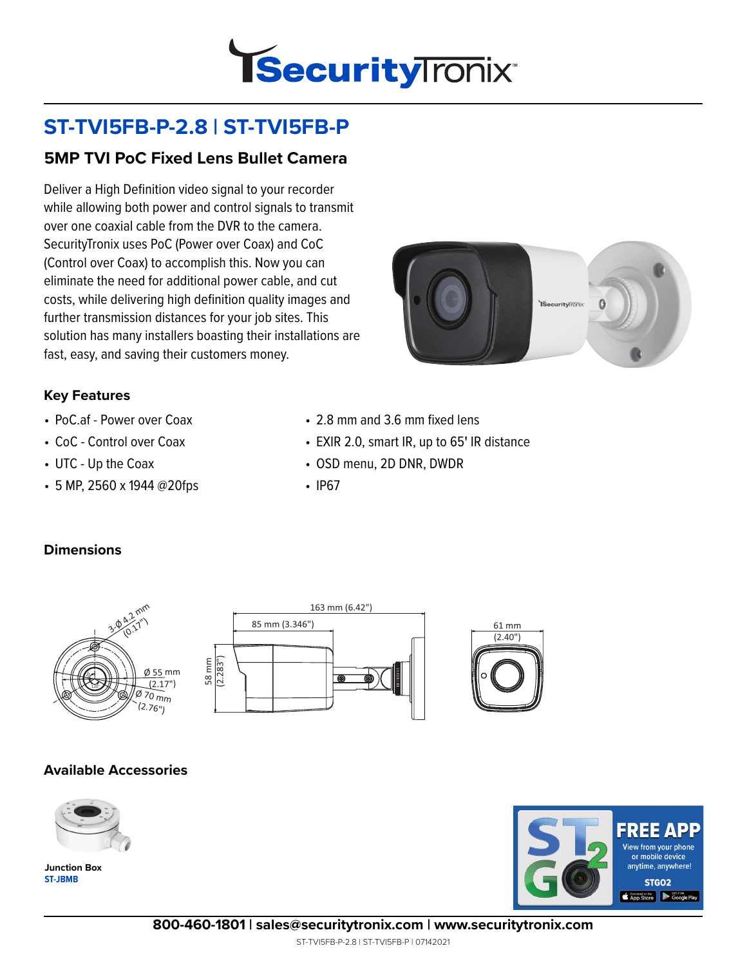

# **ST-TVI5FB-P-2.8 | ST-TVI5FB-P**

## **5MP TVI PoC Fixed Lens Bullet Camera**

Deliver a High Definition video signal to your recorder while allowing both power and control signals to transmit over one coaxial cable from the DVR to the camera. SecurityTronix uses PoC (Power over Coax) and CoC (Control over Coax) to accomplish this. Now you can eliminate the need for additional power cable, and cut costs, while delivering high definition quality images and further transmission distances for your job sites. This solution has many installers boasting their installations are fast, easy, and saving their customers money.



#### **Key Features**

- PoC.af Power over Coax
- CoC Control over Coax
- UTC Up the Coax
- 5 MP, 2560 x 1944 @20fps
- 2.8 mm and 3.6 mm fixed lens
- EXIR 2.0, smart IR, up to 65**'** IR distance
- OSD menu, 2D DNR, DWDR
- IP67

#### **Dimensions**





#### **Available Accessories**



**ST-JBMB Junction Box**



**800-460-1801 | sales@securitytronix.com | www.securitytronix.com**